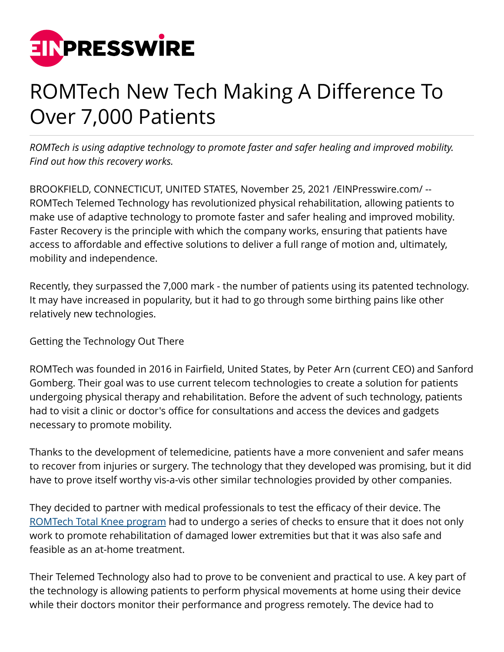

## ROMTech New Tech Making A Difference To Over 7,000 Patients

*ROMTech is using adaptive technology to promote faster and safer healing and improved mobility. Find out how this recovery works.*

BROOKFIELD, CONNECTICUT, UNITED STATES, November 25, 2021 [/EINPresswire.com](http://www.einpresswire.com)/ -- ROMTech Telemed Technology has revolutionized physical rehabilitation, allowing patients to make use of adaptive technology to promote faster and safer healing and improved mobility. Faster Recovery is the principle with which the company works, ensuring that patients have access to affordable and effective solutions to deliver a full range of motion and, ultimately, mobility and independence.

Recently, they surpassed the 7,000 mark - the number of patients using its patented technology. It may have increased in popularity, but it had to go through some birthing pains like other relatively new technologies.

Getting the Technology Out There

ROMTech was founded in 2016 in Fairfield, United States, by Peter Arn (current CEO) and Sanford Gomberg. Their goal was to use current telecom technologies to create a solution for patients undergoing physical therapy and rehabilitation. Before the advent of such technology, patients had to visit a clinic or doctor's office for consultations and access the devices and gadgets necessary to promote mobility.

Thanks to the development of telemedicine, patients have a more convenient and safer means to recover from injuries or surgery. The technology that they developed was promising, but it did have to prove itself worthy vis-a-vis other similar technologies provided by other companies.

They decided to partner with medical professionals to test the efficacy of their device. The [ROMTech Total Knee program](https://www.globenewswire.com/en/news-release/2021/11/01/2324653/0/en/ROMTech-And-The-PortableConnect-Help-Patients-With-Advanced-Telemedicine-Technology.html) had to undergo a series of checks to ensure that it does not only work to promote rehabilitation of damaged lower extremities but that it was also safe and feasible as an at-home treatment.

Their Telemed Technology also had to prove to be convenient and practical to use. A key part of the technology is allowing patients to perform physical movements at home using their device while their doctors monitor their performance and progress remotely. The device had to